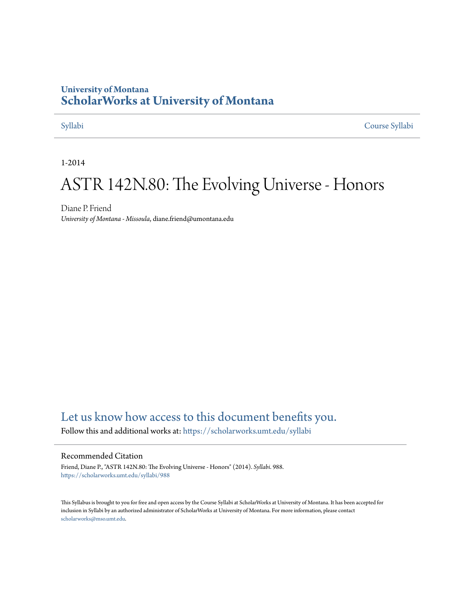## **University of Montana [ScholarWorks at University of Montana](https://scholarworks.umt.edu?utm_source=scholarworks.umt.edu%2Fsyllabi%2F988&utm_medium=PDF&utm_campaign=PDFCoverPages)**

[Syllabi](https://scholarworks.umt.edu/syllabi?utm_source=scholarworks.umt.edu%2Fsyllabi%2F988&utm_medium=PDF&utm_campaign=PDFCoverPages) [Course Syllabi](https://scholarworks.umt.edu/course_syllabi?utm_source=scholarworks.umt.edu%2Fsyllabi%2F988&utm_medium=PDF&utm_campaign=PDFCoverPages)

1-2014

# ASTR 142N.80: The Evolving Universe - Honors

Diane P. Friend *University of Montana - Missoula*, diane.friend@umontana.edu

# [Let us know how access to this document benefits you.](https://goo.gl/forms/s2rGfXOLzz71qgsB2)

Follow this and additional works at: [https://scholarworks.umt.edu/syllabi](https://scholarworks.umt.edu/syllabi?utm_source=scholarworks.umt.edu%2Fsyllabi%2F988&utm_medium=PDF&utm_campaign=PDFCoverPages)

#### Recommended Citation

Friend, Diane P., "ASTR 142N.80: The Evolving Universe - Honors" (2014). *Syllabi*. 988. [https://scholarworks.umt.edu/syllabi/988](https://scholarworks.umt.edu/syllabi/988?utm_source=scholarworks.umt.edu%2Fsyllabi%2F988&utm_medium=PDF&utm_campaign=PDFCoverPages)

This Syllabus is brought to you for free and open access by the Course Syllabi at ScholarWorks at University of Montana. It has been accepted for inclusion in Syllabi by an authorized administrator of ScholarWorks at University of Montana. For more information, please contact [scholarworks@mso.umt.edu](mailto:scholarworks@mso.umt.edu).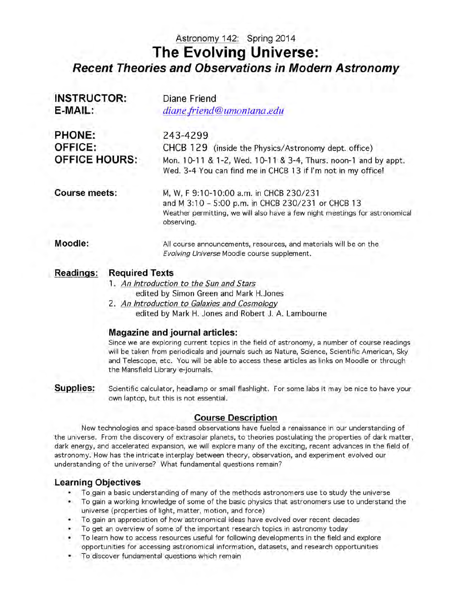# Astronomy 142: Spring 2014 **The Evolving Universe:** *Recent Theories and Observations in Modern Astronomy*

| <b>INSTRUCTOR:</b>                        | Diane Friend                                                                                                                                                                              |  |  |
|-------------------------------------------|-------------------------------------------------------------------------------------------------------------------------------------------------------------------------------------------|--|--|
| E-MAIL:                                   | diane.friend@umontana.edu                                                                                                                                                                 |  |  |
| PHONE:                                    | 243-4299                                                                                                                                                                                  |  |  |
| <b>OFFICE:</b>                            | CHCB 129 (inside the Physics/Astronomy dept. office)                                                                                                                                      |  |  |
| <b>OFFICE HOURS:</b>                      | Mon. 10-11 & 1-2, Wed. 10-11 & 3-4, Thurs. noon-1 and by appt.<br>Wed. 3-4 You can find me in CHCB 13 if I'm not in my office!                                                            |  |  |
| <b>Course meets:</b>                      | M, W, F 9:10-10:00 a.m. in CHCB 230/231<br>and M 3:10 - 5:00 p.m. in CHCB 230/231 or CHCB 13<br>Weather permitting, we will also have a few night meetings for astronomical<br>observing. |  |  |
| Moodle:                                   | All course announcements, resources, and materials will be on the<br>Evolving Universe Moodle course supplement.                                                                          |  |  |
| <b>Required Texts</b><br><b>Readings:</b> |                                                                                                                                                                                           |  |  |
|                                           | 1 An Introduction to the Cun and Ctave                                                                                                                                                    |  |  |

- 1. *An Introduction to the Sun and Stars*
	- edited by Simon Green and Mark H.Jones
- 2. *An Introduction to Galaxies and Cosmology* edited by Mark H. Jones and Robert J. A. Lambourne

### **Magazine and journal articles:**

Since we are exploring current topics in the field of astronomy, a number of course readings will be taken from periodicals and journals such as Nature, Science, Scientific American, Sky and Telescope, etc. You will be able to access these articles as links on Moodle or through the Mansfield Library e-journals.

**Supplies:** Scientific calculator, headlamp or small flashlight. For some labs it may be nice to have your own laptop, but this is not essential.

### **Course Description**

New technologies and space-based observations have fueled a renaissance in our understanding of the universe. From the discovery of extrasolar planets, to theories postulating the properties of dark matter, dark energy, and accelerated expansion, we will explore many of the exciting, recent advances in the field of astronomy. How has the intricate interplay between theory, observation, and experiment evolved our understanding of the universe? What fundamental questions remain?

### **Learning Objectives**

- To gain a basic understanding of many of the methods astronomers use to study the universe
- To gain a working knowledge of some of the basic physics that astronomers use to understand the universe (properties of light, matter, motion, and force)
- To gain an appreciation of how astronomical ideas have evolved over recent decades
- To get an overview of some of the important research topics in astronomy today
- To learn how to access resources useful for following developments in the field and explore opportunities for accessing astronomical information, datasets, and research opportunities
- To discover fundamental questions which remain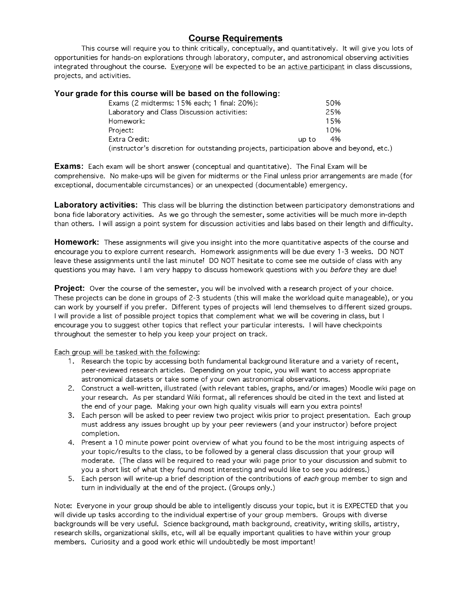### **Course Requirements**

This course will require you to think critically, conceptually, and quantitatively. It will give you lots of opportunities for hands-on explorations through laboratory, computer, and astronomical observing activities integrated throughout the course. Everyone will be expected to be an active participant in class discussions, projects, and activities.

#### **Your grade for this course will be based on the following:**

| Exams (2 midterms: 15% each; 1 final: 20%):                                              |       | 50%  |  |  |
|------------------------------------------------------------------------------------------|-------|------|--|--|
| Laboratory and Class Discussion activities:                                              |       | 25%  |  |  |
| Homework:                                                                                |       | 15%  |  |  |
| Project:                                                                                 |       | 1 በ% |  |  |
| Extra Credit:                                                                            | up to | 4%   |  |  |
| (instructor's discretion for outstanding projects, participation above and beyond, etc.) |       |      |  |  |

**Exams:** Each exam will be short answer (conceptual and quantitative). The Final Exam will be comprehensive. No make-ups will be given for midterms or the Final unless prior arrangements are made (for exceptional, documentable circumstances) or an unexpected (documentable) emergency.

**Laboratory activities:** This class will be blurring the distinction between participatory demonstrations and bona fide laboratory activities. As we go through the semester, some activities will be much more in-depth than others. I will assign a point system for discussion activities and labs based on their length and difficulty.

**Homework:** These assignments will give you insight into the more quantitative aspects of the course and encourage you to explore current research. Homework assignments will be due every 1 -3 weeks. DO NOT leave these assignments until the last minute! DO NOT hesitate to come see me outside of class with any questions you may have. I am very happy to discuss homework questions with you *before* they are due!

**Project:** Over the course of the semester, you will be involved with a research project of your choice. These projects can be done in groups of 2-3 students (this will make the workload quite manageable), or you can work by yourself if you prefer. Different types of projects will lend themselves to different sized groups. I will provide a list of possible project topics that complement what we will be covering in class, but I encourage you to suggest other topics that reflect your particular interests. I will have checkpoints throughout the semester to help you keep your project on track.

Each group will be tasked with the following:

- 1. Research the topic by accessing both fundamental background literature and a variety of recent, peer-reviewed research articles. Depending on your topic, you will want to access appropriate astronomical datasets or take some of your own astronomical observations.
- 2. Construct a well-written, illustrated (with relevant tables, graphs, and/or images) Moodle wiki page on your research. As per standard Wiki format, all references should be cited in the text and listed at the end of your page. Making your own high quality visuals will earn you extra points!
- 3. Each person will be asked to peer review two project wikis prior to project presentation. Each group must address any issues brought up by your peer reviewers (and your instructor) before project completion.
- 4. Present a 10 minute power point overview of what you found to be the most intriguing aspects of your topic/results to the class, to be followed by a general class discussion that your group will moderate. (The class will be required to read your wiki page prior to your discussion and submit to you a short list of what they found most interesting and would like to see you address.)
- 5. Each person will write-up a brief description of the contributions of *each* group member to sign and turn in individually at the end of the project. (Groups only.)

Note: Everyone in your group should be able to intelligently discuss your topic, but it is EXPECTED that you will divide up tasks according to the individual expertise of your group members. Groups with diverse backgrounds will be very useful. Science background, math background, creativity, writing skills, artistry, research skills, organizational skills, etc, will all be equally important qualities to have within your group members. Curiosity and a good work ethic will undoubtedly be most important!